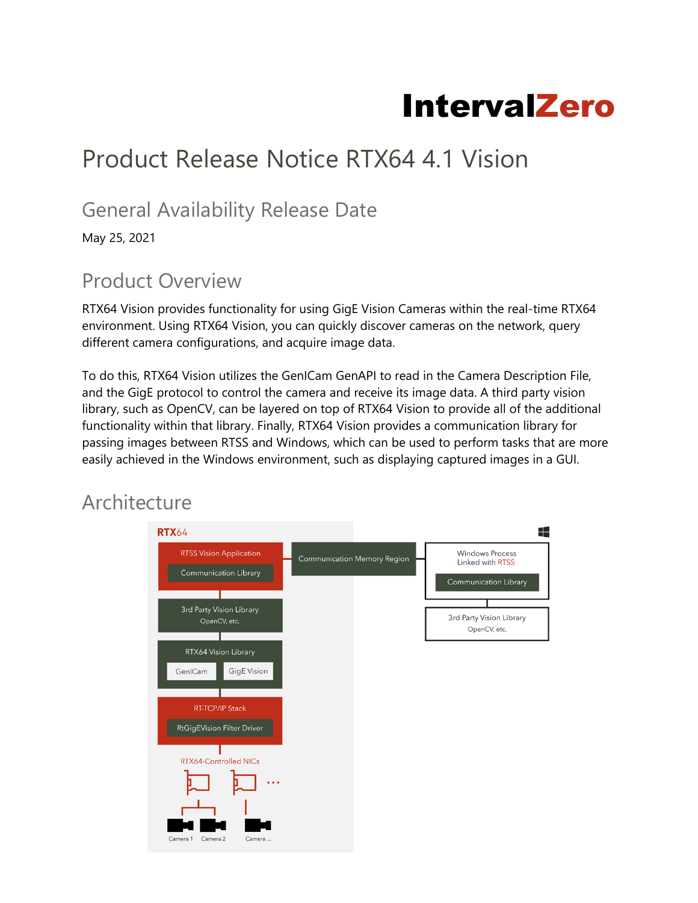# IntervalZero

## Product Release Notice RTX64 4.1 Vision

#### General Availability Release Date

May 25, 2021

#### Product Overview

RTX64 Vision provides functionality for using GigE Vision Cameras within the real-time RTX64 environment. Using RTX64 Vision, you can quickly discover cameras on the network, query different camera configurations, and acquire image data.

To do this, RTX64 Vision utilizes the GenICam GenAPI to read in the Camera Description File, and the GigE protocol to control the camera and receive its image data. A third party vision library, such as OpenCV, can be layered on top of RTX64 Vision to provide all of the additional functionality within that library. Finally, RTX64 Vision provides a communication library for passing images between RTSS and Windows, which can be used to perform tasks that are more easily achieved in the Windows environment, such as displaying captured images in a GUI.

#### **Architecture**